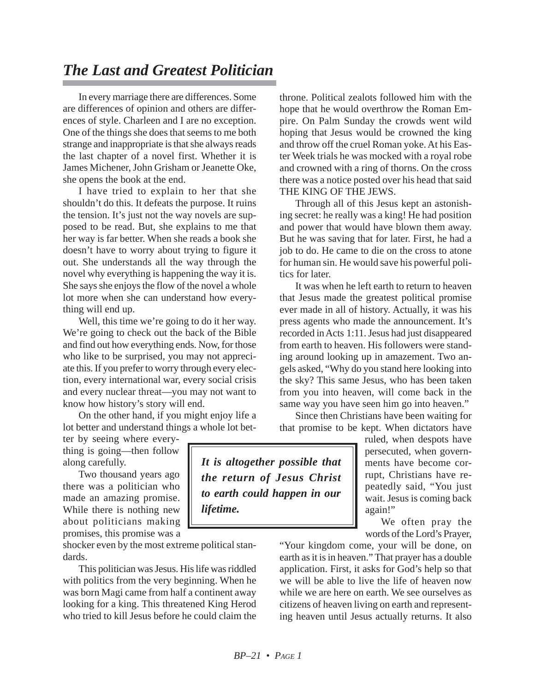## *The Last and Greatest Politician*

In every marriage there are differences. Some are differences of opinion and others are differences of style. Charleen and I are no exception. One of the things she does that seems to me both strange and inappropriate is that she always reads the last chapter of a novel first. Whether it is James Michener, John Grisham or Jeanette Oke, she opens the book at the end.

I have tried to explain to her that she shouldn't do this. It defeats the purpose. It ruins the tension. It's just not the way novels are supposed to be read. But, she explains to me that her way is far better. When she reads a book she doesn't have to worry about trying to figure it out. She understands all the way through the novel why everything is happening the way it is. She says she enjoys the flow of the novel a whole lot more when she can understand how everything will end up.

Well, this time we're going to do it her way. We're going to check out the back of the Bible and find out how everything ends. Now, for those who like to be surprised, you may not appreciate this. If you prefer to worry through every election, every international war, every social crisis and every nuclear threat—you may not want to know how history's story will end.

On the other hand, if you might enjoy life a lot better and understand things a whole lot bet-

ter by seeing where everything is going—then follow along carefully.

Two thousand years ago there was a politician who made an amazing promise. While there is nothing new about politicians making promises, this promise was a

shocker even by the most extreme political standards.

This politician was Jesus. His life was riddled with politics from the very beginning. When he was born Magi came from half a continent away looking for a king. This threatened King Herod who tried to kill Jesus before he could claim the

throne. Political zealots followed him with the hope that he would overthrow the Roman Empire. On Palm Sunday the crowds went wild hoping that Jesus would be crowned the king and throw off the cruel Roman yoke. At his Easter Week trials he was mocked with a royal robe and crowned with a ring of thorns. On the cross there was a notice posted over his head that said THE KING OF THE JEWS.

Through all of this Jesus kept an astonishing secret: he really was a king! He had position and power that would have blown them away. But he was saving that for later. First, he had a job to do. He came to die on the cross to atone for human sin. He would save his powerful politics for later.

It was when he left earth to return to heaven that Jesus made the greatest political promise ever made in all of history. Actually, it was his press agents who made the announcement. It's recorded in Acts 1:11. Jesus had just disappeared from earth to heaven. His followers were standing around looking up in amazement. Two angels asked, "Why do you stand here looking into the sky? This same Jesus, who has been taken from you into heaven, will come back in the same way you have seen him go into heaven."

Since then Christians have been waiting for that promise to be kept. When dictators have

ruled, when despots have persecuted, when governments have become corrupt, Christians have repeatedly said, "You just wait. Jesus is coming back again!"

We often pray the words of the Lord's Prayer,

"Your kingdom come, your will be done, on earth as it is in heaven." That prayer has a double application. First, it asks for God's help so that we will be able to live the life of heaven now while we are here on earth. We see ourselves as citizens of heaven living on earth and representing heaven until Jesus actually returns. It also

*It is altogether possible that the return of Jesus Christ to earth could happen in our lifetime.*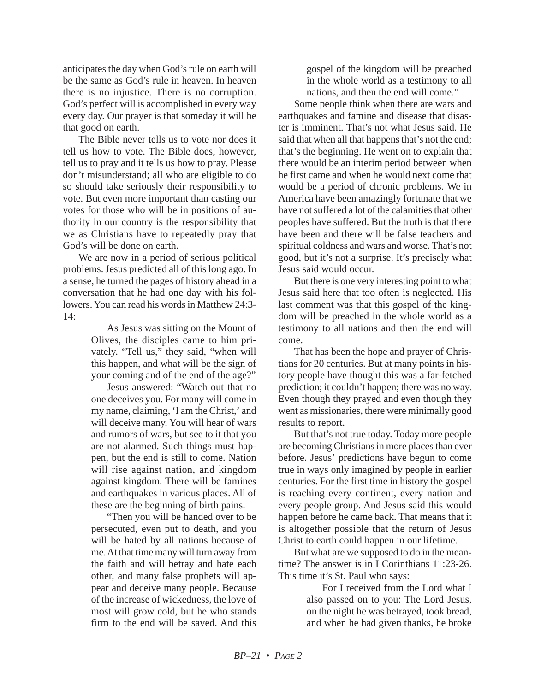anticipates the day when God's rule on earth will be the same as God's rule in heaven. In heaven there is no injustice. There is no corruption. God's perfect will is accomplished in every way every day. Our prayer is that someday it will be that good on earth.

The Bible never tells us to vote nor does it tell us how to vote. The Bible does, however, tell us to pray and it tells us how to pray. Please don't misunderstand; all who are eligible to do so should take seriously their responsibility to vote. But even more important than casting our votes for those who will be in positions of authority in our country is the responsibility that we as Christians have to repeatedly pray that God's will be done on earth.

We are now in a period of serious political problems. Jesus predicted all of this long ago. In a sense, he turned the pages of history ahead in a conversation that he had one day with his followers. You can read his words in Matthew 24:3- 14:

> As Jesus was sitting on the Mount of Olives, the disciples came to him privately. "Tell us," they said, "when will this happen, and what will be the sign of your coming and of the end of the age?"

> Jesus answered: "Watch out that no one deceives you. For many will come in my name, claiming, 'I am the Christ,' and will deceive many. You will hear of wars and rumors of wars, but see to it that you are not alarmed. Such things must happen, but the end is still to come. Nation will rise against nation, and kingdom against kingdom. There will be famines and earthquakes in various places. All of these are the beginning of birth pains.

> "Then you will be handed over to be persecuted, even put to death, and you will be hated by all nations because of me. At that time many will turn away from the faith and will betray and hate each other, and many false prophets will appear and deceive many people. Because of the increase of wickedness, the love of most will grow cold, but he who stands firm to the end will be saved. And this

gospel of the kingdom will be preached in the whole world as a testimony to all nations, and then the end will come."

Some people think when there are wars and earthquakes and famine and disease that disaster is imminent. That's not what Jesus said. He said that when all that happens that's not the end; that's the beginning. He went on to explain that there would be an interim period between when he first came and when he would next come that would be a period of chronic problems. We in America have been amazingly fortunate that we have not suffered a lot of the calamities that other peoples have suffered. But the truth is that there have been and there will be false teachers and spiritual coldness and wars and worse. That's not good, but it's not a surprise. It's precisely what Jesus said would occur.

But there is one very interesting point to what Jesus said here that too often is neglected. His last comment was that this gospel of the kingdom will be preached in the whole world as a testimony to all nations and then the end will come.

That has been the hope and prayer of Christians for 20 centuries. But at many points in history people have thought this was a far-fetched prediction; it couldn't happen; there was no way. Even though they prayed and even though they went as missionaries, there were minimally good results to report.

But that's not true today. Today more people are becoming Christians in more places than ever before. Jesus' predictions have begun to come true in ways only imagined by people in earlier centuries. For the first time in history the gospel is reaching every continent, every nation and every people group. And Jesus said this would happen before he came back. That means that it is altogether possible that the return of Jesus Christ to earth could happen in our lifetime.

But what are we supposed to do in the meantime? The answer is in I Corinthians 11:23-26. This time it's St. Paul who says:

> For I received from the Lord what I also passed on to you: The Lord Jesus, on the night he was betrayed, took bread, and when he had given thanks, he broke